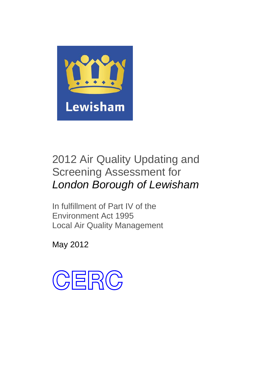

# 2012 Air Quality Updating and Screening Assessment for *London Borough of Lewisham*

In fulfillment of Part IV of the Environment Act 1995 Local Air Quality Management

May 2012

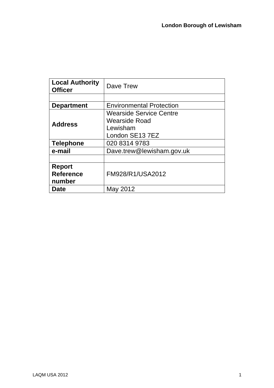| <b>Local Authority</b><br><b>Officer</b> | Dave Trew                       |
|------------------------------------------|---------------------------------|
|                                          |                                 |
| <b>Department</b>                        | <b>Environmental Protection</b> |
|                                          | <b>Wearside Service Centre</b>  |
| <b>Address</b>                           | Wearside Road                   |
|                                          | Lewisham                        |
|                                          | London SE13 7EZ                 |
| <b>Telephone</b>                         | 020 8314 9783                   |
| e-mail                                   | Dave.trew@lewisham.gov.uk       |
|                                          |                                 |
| <b>Report</b>                            |                                 |
| <b>Reference</b>                         | FM928/R1/USA2012                |
| number                                   |                                 |
| <b>Date</b>                              | Mav<br>2012                     |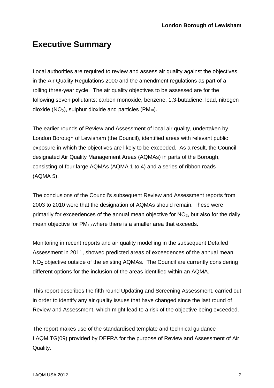## **Executive Summary**

Local authorities are required to review and assess air quality against the objectives in the Air Quality Regulations 2000 and the amendment regulations as part of a rolling three-year cycle. The air quality objectives to be assessed are for the following seven pollutants: carbon monoxide, benzene, 1,3-butadiene, lead, nitrogen dioxide  $(NO<sub>2</sub>)$ , sulphur dioxide and particles  $(PM<sub>10</sub>)$ .

The earlier rounds of Review and Assessment of local air quality, undertaken by London Borough of Lewisham (the Council), identified areas with relevant public exposure in which the objectives are likely to be exceeded. As a result, the Council designated Air Quality Management Areas (AQMAs) in parts of the Borough, consisting of four large AQMAs (AQMA 1 to 4) and a series of ribbon roads (AQMA 5).

The conclusions of the Council's subsequent Review and Assessment reports from 2003 to 2010 were that the designation of AQMAs should remain. These were primarily for exceedences of the annual mean objective for  $NO<sub>2</sub>$ , but also for the daily mean objective for  $PM_{10}$  where there is a smaller area that exceeds.

Monitoring in recent reports and air quality modelling in the subsequent Detailed Assessment in 2011, showed predicted areas of exceedences of the annual mean NO2 objective outside of the existing AQMAs. The Council are currently considering different options for the inclusion of the areas identified within an AQMA.

This report describes the fifth round Updating and Screening Assessment, carried out in order to identify any air quality issues that have changed since the last round of Review and Assessment, which might lead to a risk of the objective being exceeded.

The report makes use of the standardised template and technical guidance LAQM.TG(09) provided by DEFRA for the purpose of Review and Assessment of Air Quality.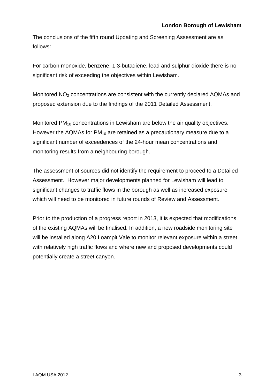The conclusions of the fifth round Updating and Screening Assessment are as follows:

For carbon monoxide, benzene, 1,3-butadiene, lead and sulphur dioxide there is no significant risk of exceeding the objectives within Lewisham.

Monitored  $NO<sub>2</sub>$  concentrations are consistent with the currently declared AQMAs and proposed extension due to the findings of the 2011 Detailed Assessment.

Monitored  $PM_{10}$  concentrations in Lewisham are below the air quality objectives. However the AQMAs for  $PM_{10}$  are retained as a precautionary measure due to a significant number of exceedences of the 24-hour mean concentrations and monitoring results from a neighbouring borough.

The assessment of sources did not identify the requirement to proceed to a Detailed Assessment. However major developments planned for Lewisham will lead to significant changes to traffic flows in the borough as well as increased exposure which will need to be monitored in future rounds of Review and Assessment.

Prior to the production of a progress report in 2013, it is expected that modifications of the existing AQMAs will be finalised. In addition, a new roadside monitoring site will be installed along A20 Loampit Vale to monitor relevant exposure within a street with relatively high traffic flows and where new and proposed developments could potentially create a street canyon.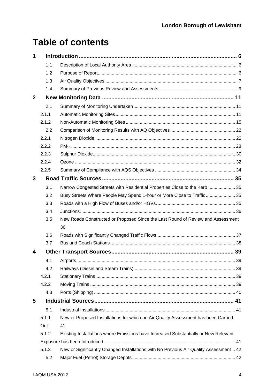# **Table of contents**

| 1                       |       |                                                                                       |    |
|-------------------------|-------|---------------------------------------------------------------------------------------|----|
|                         | 1.1   |                                                                                       |    |
|                         | 1.2   |                                                                                       |    |
|                         | 1.3   |                                                                                       |    |
|                         | 1.4   |                                                                                       |    |
| $\mathbf{2}$            |       |                                                                                       |    |
|                         | 2.1   |                                                                                       |    |
|                         | 2.1.1 |                                                                                       |    |
|                         | 2.1.2 |                                                                                       |    |
|                         | 2.2   |                                                                                       |    |
|                         | 2.2.1 |                                                                                       |    |
|                         | 2.2.2 |                                                                                       |    |
|                         | 2.2.3 |                                                                                       |    |
|                         | 2.2.4 |                                                                                       |    |
|                         | 2.2.5 |                                                                                       |    |
| 3                       |       |                                                                                       |    |
|                         | 3.1   | Narrow Congested Streets with Residential Properties Close to the Kerb  35            |    |
|                         | 3.2   | Busy Streets Where People May Spend 1-hour or More Close to Traffic 35                |    |
|                         | 3.3   |                                                                                       |    |
|                         | 3.4   |                                                                                       |    |
|                         | 3.5   | New Roads Constructed or Proposed Since the Last Round of Review and Assessment       |    |
|                         |       | 36                                                                                    |    |
|                         | 3.6   |                                                                                       |    |
|                         | 3.7   |                                                                                       |    |
| 4                       |       |                                                                                       | 39 |
|                         | 4.1   |                                                                                       |    |
|                         | 4.2   |                                                                                       |    |
|                         | 4.2.1 |                                                                                       |    |
|                         | 4.2.2 |                                                                                       |    |
|                         | 4.3   |                                                                                       |    |
| $\overline{\mathbf{5}}$ |       |                                                                                       |    |
|                         | 5.1   |                                                                                       |    |
|                         | 5.1.1 | New or Proposed Installations for which an Air Quality Assessment has been Carried    |    |
|                         | Out   | 41                                                                                    |    |
|                         | 5.1.2 | Existing Installations where Emissions have Increased Substantially or New Relevant   |    |
|                         |       |                                                                                       |    |
|                         | 5.1.3 | New or Significantly Changed Installations with No Previous Air Quality Assessment 42 |    |
|                         | 5.2   |                                                                                       |    |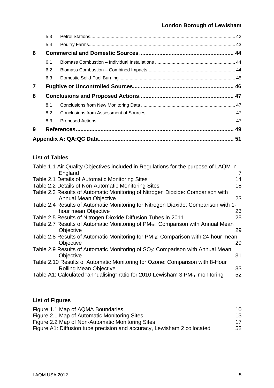|                | 5.3 |  |
|----------------|-----|--|
|                | 5.4 |  |
| 6              |     |  |
|                | 6.1 |  |
|                | 6.2 |  |
|                | 6.3 |  |
| $\overline{7}$ |     |  |
| 8              |     |  |
|                | 8.1 |  |
|                | 8.2 |  |
|                | 8.3 |  |
| 9              |     |  |
|                |     |  |

#### **List of Tables**

| Table 1.1 Air Quality Objectives included in Regulations for the purpose of LAQM in         |    |
|---------------------------------------------------------------------------------------------|----|
| England                                                                                     | 7  |
| Table 2.1 Details of Automatic Monitoring Sites                                             | 14 |
| Table 2.2 Details of Non-Automatic Monitoring Sites                                         | 18 |
| Table 2.3 Results of Automatic Monitoring of Nitrogen Dioxide: Comparison with              |    |
| <b>Annual Mean Objective</b>                                                                | 23 |
| Table 2.4 Results of Automatic Monitoring for Nitrogen Dioxide: Comparison with 1-          |    |
| hour mean Objective                                                                         | 23 |
| Table 2.5 Results of Nitrogen Dioxide Diffusion Tubes in 2011                               | 25 |
| Table 2.7 Results of Automatic Monitoring of PM <sub>10</sub> : Comparison with Annual Mean |    |
| Objective                                                                                   | 29 |
| Table 2.8 Results of Automatic Monitoring for $PM_{10}$ : Comparison with 24-hour mean      |    |
| Objective                                                                                   | 29 |
| Table 2.9 Results of Automatic Monitoring of SO <sub>2</sub> : Comparison with Annual Mean  |    |
| Objective                                                                                   | 31 |
| Table 2.10 Results of Automatic Monitoring for Ozone: Comparison with 8-Hour                |    |
| <b>Rolling Mean Objective</b>                                                               | 33 |
| Table A1: Calculated "annualising" ratio for 2010 Lewisham 3 PM <sub>10</sub> monitoring    | 52 |
|                                                                                             |    |

### **List of Figures**

| Figure 1.1 Map of AQMA Boundaries                                       | 10 |
|-------------------------------------------------------------------------|----|
| Figure 2.1 Map of Automatic Monitoring Sites                            | 13 |
| Figure 2.2 Map of Non-Automatic Monitoring Sites                        | 17 |
| Figure A1: Diffusion tube precision and accuracy, Lewisham 2 collocated | 52 |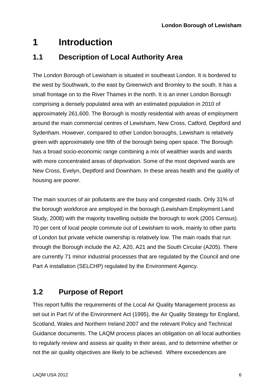# <span id="page-6-0"></span>**1 Introduction**

### **1.1 Description of Local Authority Area**

The London Borough of Lewisham is situated in southeast London. It is bordered to the west by Southwark, to the east by Greenwich and Bromley to the south. It has a small frontage on to the River Thames in the north. It is an inner London Borough comprising a densely populated area with an estimated population in 2010 of approximately 261,600. The Borough is mostly residential with areas of employment around the main commercial centres of Lewisham, New Cross, Catford, Deptford and Sydenham. However, compared to other London boroughs, Lewisham is relatively green with approximately one fifth of the borough being open space. The Borough has a broad socio-economic range combining a mix of wealthier wards and wards with more concentrated areas of deprivation. Some of the most deprived wards are New Cross, Evelyn, Deptford and Downham. In these areas health and the quality of housing are poorer.

The main sources of air pollutants are the busy and congested roads. Only 31% of the borough workforce are employed in the borough (Lewisham Employment Land Study, 2008) with the majority travelling outside the borough to work (2001 Census). 70 per cent of local people commute out of Lewisham to work, mainly to other parts of London but private vehicle ownership is relatively low. The main roads that run through the Borough include the A2, A20, A21 and the South Circular (A205). There are currently 71 minor industrial processes that are regulated by the Council and one Part A installation (SELCHP) regulated by the Environment Agency.

### **1.2 Purpose of Report**

This report fulfils the requirements of the Local Air Quality Management process as set out in Part IV of the Environment Act (1995), the Air Quality Strategy for England, Scotland, Wales and Northern Ireland 2007 and the relevant Policy and Technical Guidance documents. The LAQM process places an obligation on all local authorities to regularly review and assess air quality in their areas, and to determine whether or not the air quality objectives are likely to be achieved. Where exceedences are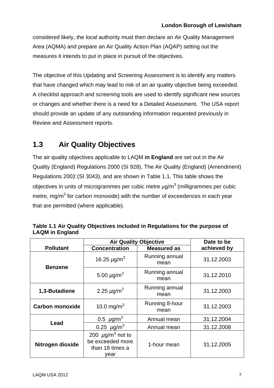<span id="page-7-0"></span>considered likely, the local authority must then declare an Air Quality Management Area (AQMA) and prepare an Air Quality Action Plan (AQAP) setting out the measures it intends to put in place in pursuit of the objectives.

The objective of this Updating and Screening Assessment is to identify any matters that have changed which may lead to risk of an air quality objective being exceeded. A checklist approach and screening tools are used to identify significant new sources or changes and whether there is a need for a Detailed Assessment. The USA report should provide an update of any outstanding information requested previously in Review and Assessment reports.

### **1.3 Air Quality Objectives**

The air quality objectives applicable to LAQM **in England** are set out in the Air Quality (England) Regulations 2000 (SI 928), The Air Quality (England) (Amendment) Regulations 2002 (SI 3043), and are shown in Table 1.1. This table shows the objectives in units of microgrammes per cubic metre  $\mu$ g/m $^3$  (milligrammes per cubic metre, mg/m<sup>3</sup> for carbon monoxide) with the number of exceedences in each year that are permitted (where applicable).

|                        | Table 1.1 Air Quality Objectives included in Regulations for the purpose of |
|------------------------|-----------------------------------------------------------------------------|
| <b>LAQM</b> in England |                                                                             |

|                        | <b>Air Quality Objective</b>                                                     |                        | Date to be  |
|------------------------|----------------------------------------------------------------------------------|------------------------|-------------|
| <b>Pollutant</b>       | <b>Concentration</b>                                                             | <b>Measured as</b>     | achieved by |
| <b>Benzene</b>         | 16.25 $\mu$ g/m <sup>3</sup>                                                     | Running annual<br>mean | 31.12.2003  |
|                        | 5.00 $\mu$ g/m <sup>3</sup>                                                      | Running annual<br>mean | 31.12.2010  |
| 1,3-Butadiene          | 2.25 $\mu$ g/m <sup>3</sup>                                                      | Running annual<br>mean | 31.12.2003  |
| <b>Carbon monoxide</b> | 10.0 mg/m <sup>3</sup>                                                           | Running 8-hour<br>mean | 31.12.2003  |
|                        | 0.5 $\mu$ g/m <sup>3</sup>                                                       | Annual mean            | 31.12.2004  |
| Lead                   | 0.25 $\mu$ g/m <sup>3</sup>                                                      | Annual mean            | 31.12.2008  |
| Nitrogen dioxide       | 200 $\mu$ g/m <sup>3</sup> not to<br>be exceeded more<br>than 18 times a<br>vear | 1-hour mean            | 31.12.2005  |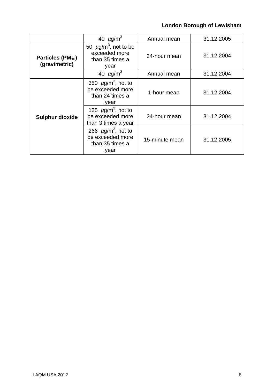|                                                | 40 $\mu$ g/m <sup>3</sup>                                                          | Annual mean    | 31.12.2005 |
|------------------------------------------------|------------------------------------------------------------------------------------|----------------|------------|
| Particles (PM <sub>10</sub> )<br>(gravimetric) | 50 $\mu$ g/m <sup>3</sup> , not to be<br>exceeded more<br>than 35 times a<br>year  | 24-hour mean   | 31.12.2004 |
|                                                | 40 $\mu$ g/m <sup>3</sup>                                                          | Annual mean    | 31.12.2004 |
|                                                | 350 $\mu$ g/m <sup>3</sup> , not to<br>be exceeded more<br>than 24 times a<br>year | 1-hour mean    | 31.12.2004 |
| <b>Sulphur dioxide</b>                         | 125 $\mu$ g/m <sup>3</sup> , not to<br>be exceeded more<br>than 3 times a year     | 24-hour mean   | 31.12.2004 |
|                                                | 266 $\mu$ g/m <sup>3</sup> , not to<br>be exceeded more<br>than 35 times a<br>year | 15-minute mean | 31.12.2005 |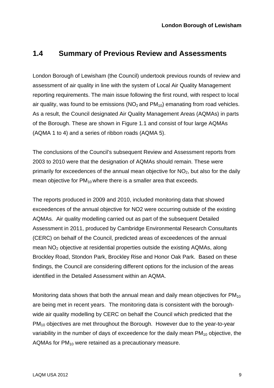#### <span id="page-9-0"></span>**1.4 Summary of Previous Review and Assessments**

London Borough of Lewisham (the Council) undertook previous rounds of review and assessment of air quality in line with the system of Local Air Quality Management reporting requirements. The main issue following the first round, with respect to local air quality, was found to be emissions  $(NO<sub>2</sub>$  and  $PM<sub>10</sub>)$  emanating from road vehicles. As a result, the Council designated Air Quality Management Areas (AQMAs) in parts of the Borough. These are shown in Figure 1.1 and consist of four large AQMAs (AQMA 1 to 4) and a series of ribbon roads (AQMA 5).

The conclusions of the Council's subsequent Review and Assessment reports from 2003 to 2010 were that the designation of AQMAs should remain. These were primarily for exceedences of the annual mean objective for  $NO<sub>2</sub>$ , but also for the daily mean objective for  $PM_{10}$  where there is a smaller area that exceeds.

The reports produced in 2009 and 2010, included monitoring data that showed exceedences of the annual objective for NO2 were occurring outside of the existing AQMAs. Air quality modelling carried out as part of the subsequent Detailed Assessment in 2011, produced by Cambridge Environmental Research Consultants (CERC) on behalf of the Council, predicted areas of exceedences of the annual mean  $NO<sub>2</sub>$  objective at residential properties outside the existing AQMAs, along Brockley Road, Stondon Park, Brockley Rise and Honor Oak Park. Based on these findings, the Council are considering different options for the inclusion of the areas identified in the Detailed Assessment within an AQMA.

Monitoring data shows that both the annual mean and daily mean objectives for  $PM_{10}$ are being met in recent years. The monitoring data is consistent with the boroughwide air quality modelling by CERC on behalf the Council which predicted that the PM<sub>10</sub> objectives are met throughout the Borough. However due to the year-to-year variability in the number of days of exceedence for the daily mean  $PM_{10}$  objective, the AQMAs for  $PM_{10}$  were retained as a precautionary measure.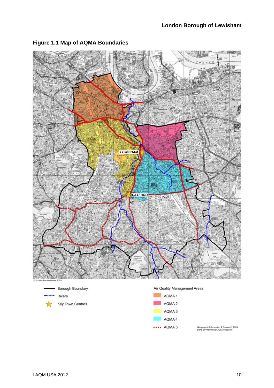

#### <span id="page-10-0"></span>**Figure 1.1 Map of AQMA Boundaries**







Geographic Information & Research 2009<br>Barts Environmental AQMA Map.cdr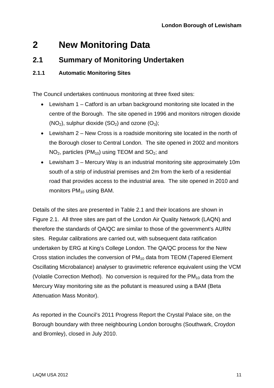# <span id="page-11-0"></span>**2 New Monitoring Data**

### **2.1 Summary of Monitoring Undertaken**

#### **2.1.1 Automatic Monitoring Sites**

The Council undertakes continuous monitoring at three fixed sites:

- Lewisham 1 Catford is an urban background monitoring site located in the centre of the Borough. The site opened in 1996 and monitors nitrogen dioxide  $(NO<sub>2</sub>)$ , sulphur dioxide  $(SO<sub>2</sub>)$  and ozone  $(O<sub>3</sub>)$ ;
- Lewisham 2 New Cross is a roadside monitoring site located in the north of the Borough closer to Central London. The site opened in 2002 and monitors  $NO<sub>2</sub>$ , particles (PM<sub>10</sub>) using TEOM and  $SO<sub>2</sub>$ ; and
- Lewisham 3 Mercury Way is an industrial monitoring site approximately 10m south of a strip of industrial premises and 2m from the kerb of a residential road that provides access to the industrial area. The site opened in 2010 and monitors  $PM_{10}$  using BAM.

Details of the sites are presented in Table 2.1 and their locations are shown in Figure 2.1. All three sites are part of the London Air Quality Network (LAQN) and therefore the standards of QA/QC are similar to those of the government's AURN sites. Regular calibrations are carried out, with subsequent data ratification undertaken by ERG at King's College London. The QA/QC process for the New Cross station includes the conversion of  $PM_{10}$  data from TEOM (Tapered Element Oscillating Microbalance) analyser to gravimetric reference equivalent using the VCM (Volatile Correction Method). No conversion is required for the  $PM_{10}$  data from the Mercury Way monitoring site as the pollutant is measured using a BAM (Beta Attenuation Mass Monitor).

As reported in the Council's 2011 Progress Report the Crystal Palace site, on the Borough boundary with three neighbouring London boroughs (Southwark, Croydon and Bromley), closed in July 2010.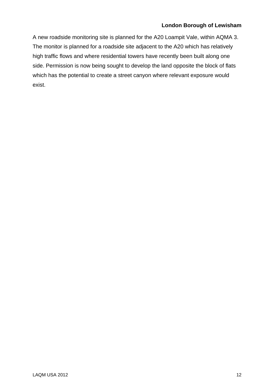A new roadside monitoring site is planned for the A20 Loampit Vale, within AQMA 3. The monitor is planned for a roadside site adjacent to the A20 which has relatively high traffic flows and where residential towers have recently been built along one side. Permission is now being sought to develop the land opposite the block of flats which has the potential to create a street canyon where relevant exposure would exist.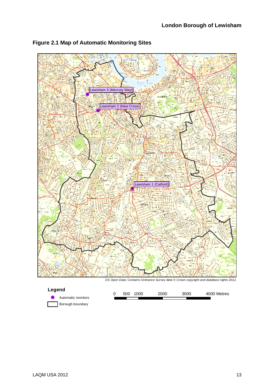

#### <span id="page-13-0"></span>**Figure 2.1 Map of Automatic Monitoring Sites**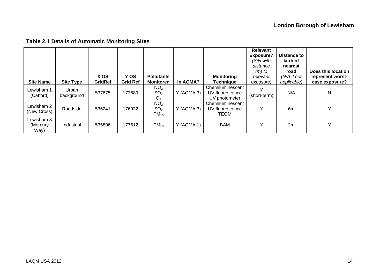<span id="page-14-0"></span>

| <b>Site Name</b>               | <b>Site Type</b>    | X OS<br><b>GridRef</b> | Y OS<br><b>Grid Ref</b> | <b>Pollutants</b><br><b>Monitored</b>                | In AQMA?     | <b>Monitoring</b><br><b>Technique</b>                | Relevant<br><b>Exposure?</b><br>'Y/N with<br>distance<br>$(m)$ to<br>relevant<br>exposure) | <b>Distance to</b><br>kerb of<br>nearest<br>road<br>$(N/A$ if not<br>applicable) | Does this location<br>represent worst-<br>case exposure? |
|--------------------------------|---------------------|------------------------|-------------------------|------------------------------------------------------|--------------|------------------------------------------------------|--------------------------------------------------------------------------------------------|----------------------------------------------------------------------------------|----------------------------------------------------------|
| Lewisham 1<br>(Catford)        | Urban<br>background | 537675                 | 173689                  | NO <sub>2</sub><br>SO <sub>2</sub><br>O <sub>3</sub> | Y (AQMA 3)   | Chemiluminescent<br>UV fluorescence<br>UV photometer | $\checkmark$<br>(short-term)                                                               | N/A                                                                              | N                                                        |
| Lewisham 2<br>(New Cross)      | Roadside            | 536241                 | 176932                  | NO <sub>2</sub><br>SO <sub>2</sub><br>$PM_{10}$      | $Y$ (AQMA 3) | Chemiluminescent<br>UV fluorescence<br>TEOM          | Υ                                                                                          | 6m                                                                               | $\checkmark$                                             |
| Lewisham 3<br>(Mercury<br>Way) | Industrial          | 535806                 | 177612                  | $PM_{10}$                                            | Y (AQMA 1)   | <b>BAM</b>                                           | Y                                                                                          | 2m                                                                               | $\checkmark$                                             |

### **Table 2.1 Details of Automatic Monitoring Sites**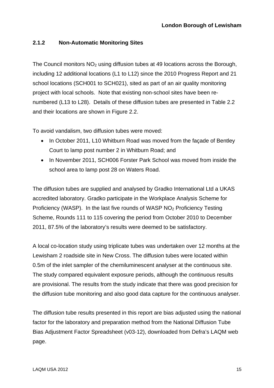#### <span id="page-15-0"></span>**2.1.2 Non-Automatic Monitoring Sites**

The Council monitors  $NO<sub>2</sub>$  using diffusion tubes at 49 locations across the Borough, including 12 additional locations (L1 to L12) since the 2010 Progress Report and 21 school locations (SCH001 to SCH021), sited as part of an air quality monitoring project with local schools. Note that existing non-school sites have been renumbered (L13 to L28). Details of these diffusion tubes are presented in Table 2.2 and their locations are shown in Figure 2.2.

To avoid vandalism, two diffusion tubes were moved:

- In October 2011, L10 Whitburn Road was moved from the facade of Bentley Court to lamp post number 2 in Whitburn Road; and
- In November 2011, SCH006 Forster Park School was moved from inside the school area to lamp post 28 on Waters Road.

The diffusion tubes are supplied and analysed by Gradko International Ltd a UKAS accredited laboratory. Gradko participate in the Workplace Analysis Scheme for Proficiency (WASP). In the last five rounds of WASP NO<sub>2</sub> Proficiency Testing Scheme, Rounds 111 to 115 covering the period from October 2010 to December 2011, 87.5% of the laboratory's results were deemed to be satisfactory.

A local co-location study using triplicate tubes was undertaken over 12 months at the Lewisham 2 roadside site in New Cross. The diffusion tubes were located within 0.5m of the inlet sampler of the chemiluminescent analyser at the continuous site. The study compared equivalent exposure periods, although the continuous results are provisional. The results from the study indicate that there was good precision for the diffusion tube monitoring and also good data capture for the continuous analyser.

The diffusion tube results presented in this report are bias adjusted using the national factor for the laboratory and preparation method from the National Diffusion Tube Bias Adjustment Factor Spreadsheet (v03-12), downloaded from Defra's LAQM web page.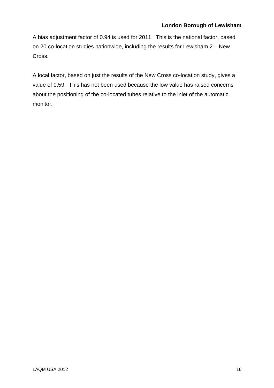A bias adjustment factor of 0.94 is used for 2011. This is the national factor, based on 20 co-location studies nationwide, including the results for Lewisham 2 – New Cross.

A local factor, based on just the results of the New Cross co-location study, gives a value of 0.59. This has not been used because the low value has raised concerns about the positioning of the co-located tubes relative to the inlet of the automatic monitor.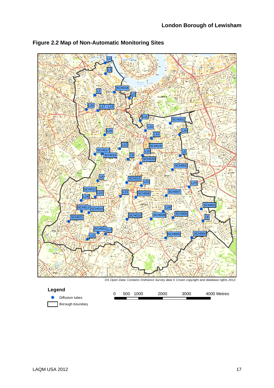

<span id="page-17-0"></span>**Figure 2.2 Map of Non-Automatic Monitoring Sites**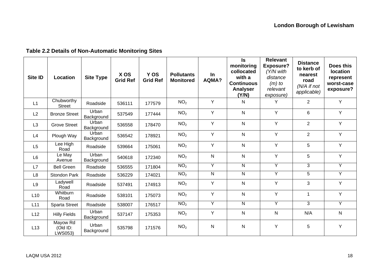### **Table 2.2 Details of Non-Automatic Monitoring Sites**

<span id="page-18-0"></span>

| Site ID        | Location                        | <b>Site Type</b>    | X OS<br><b>Grid Ref</b> | Y OS<br><b>Grid Ref</b> | <b>Pollutants</b><br><b>Monitored</b> | <b>In</b><br><b>AQMA?</b> | $\mathsf{ls}$<br>monitoring<br>collocated<br>with a<br><b>Continuous</b><br><b>Analyser</b><br>(Y/N) | <b>Relevant</b><br><b>Exposure?</b><br>(Y/N with<br>distance<br>$(m)$ to<br>relevant<br>exposure) | <b>Distance</b><br>to kerb of<br>nearest<br>road<br>$(N/A$ if not<br>applicable) | Does this<br><b>location</b><br>represent<br>worst-case<br>exposure? |
|----------------|---------------------------------|---------------------|-------------------------|-------------------------|---------------------------------------|---------------------------|------------------------------------------------------------------------------------------------------|---------------------------------------------------------------------------------------------------|----------------------------------------------------------------------------------|----------------------------------------------------------------------|
| L1             | Chubworthy<br><b>Street</b>     | Roadside            | 536111                  | 177579                  | NO <sub>2</sub>                       | Y                         | N                                                                                                    | Y                                                                                                 | $\overline{2}$                                                                   | Y                                                                    |
| L2             | <b>Bronze Street</b>            | Urban<br>Background | 537549                  | 177444                  | NO <sub>2</sub>                       | Y                         | $\mathsf{N}$                                                                                         | Y                                                                                                 | 6                                                                                | Y                                                                    |
| L <sub>3</sub> | <b>Grove Street</b>             | Urban<br>Background | 536558                  | 178470                  | NO <sub>2</sub>                       | Υ                         | $\mathsf{N}$                                                                                         | Y                                                                                                 | $\overline{2}$                                                                   | Y                                                                    |
| L4             | Plough Way                      | Urban<br>Background | 536542                  | 178921                  | NO <sub>2</sub>                       | Y                         | $\mathsf{N}$                                                                                         | Y                                                                                                 | $\overline{2}$                                                                   | Y                                                                    |
| L5             | Lee High<br>Road                | Roadside            | 539664                  | 175061                  | NO <sub>2</sub>                       | Y                         | N                                                                                                    | Y                                                                                                 | 5                                                                                | Y                                                                    |
| L <sub>6</sub> | $E$ e May<br>Avenue             | Urban<br>Background | 540618                  | 172340                  | NO <sub>2</sub>                       | ${\sf N}$                 | $\mathsf{N}$                                                                                         | Y                                                                                                 | 5                                                                                | Y                                                                    |
| L7             | <b>Bell Green</b>               | Roadside            | 536555                  | 171804                  | NO <sub>2</sub>                       | Y                         | $\mathsf{N}$                                                                                         | Y                                                                                                 | 3                                                                                | Y                                                                    |
| L <sub>8</sub> | <b>Stondon Park</b>             | Roadside            | 536229                  | 174021                  | NO <sub>2</sub>                       | $\mathsf{N}$              | N                                                                                                    | $\overline{Y}$                                                                                    | 5                                                                                | $\overline{Y}$                                                       |
| L <sub>9</sub> | Ladywell<br>Road                | Roadside            | 537491                  | 174913                  | NO <sub>2</sub>                       | Υ                         | $\mathsf{N}$                                                                                         | Y                                                                                                 | 3                                                                                | Y                                                                    |
| L10            | Whitburn<br>Road                | Roadside            | 538101                  | 175073                  | NO <sub>2</sub>                       | Y                         | $\mathsf{N}$                                                                                         | Y                                                                                                 |                                                                                  | Y                                                                    |
| L11            | <b>Sparta Street</b>            | Roadside            | 538007                  | 176517                  | NO <sub>2</sub>                       | Y                         | $\mathsf{N}$                                                                                         | Y                                                                                                 | 3                                                                                | $\overline{Y}$                                                       |
| L12            | <b>Hilly Fields</b>             | Urban<br>Background | 537147                  | 175353                  | NO <sub>2</sub>                       | Υ                         | $\mathsf{N}$                                                                                         | $\mathsf{N}$                                                                                      | N/A                                                                              | ${\sf N}$                                                            |
| L13            | Mayow Rd<br>(Old ID:<br>LWS053) | Urban<br>Background | 535798                  | 171576                  | NO <sub>2</sub>                       | N                         | $\mathsf{N}$                                                                                         | Y                                                                                                 | 5                                                                                | Y                                                                    |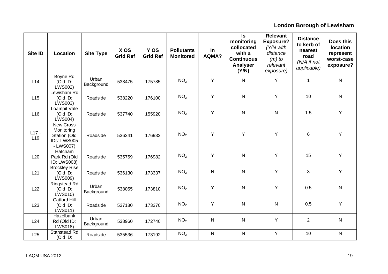| Site ID                    | Location                                                                   | <b>Site Type</b>    | X OS<br><b>Grid Ref</b> | Y OS<br><b>Grid Ref</b> | <b>Pollutants</b><br><b>Monitored</b> | In<br>AQMA?  | $\sf ls$<br>monitoring<br>collocated<br>with a<br><b>Continuous</b><br><b>Analyser</b><br>(Y/N) | <b>Relevant</b><br><b>Exposure?</b><br>(Y/N with<br>distance<br>$(m)$ to<br>relevant<br>exposure) | <b>Distance</b><br>to kerb of<br>nearest<br>road<br>(N/A if not<br>applicable) | Does this<br><b>location</b><br>represent<br>worst-case<br>exposure? |
|----------------------------|----------------------------------------------------------------------------|---------------------|-------------------------|-------------------------|---------------------------------------|--------------|-------------------------------------------------------------------------------------------------|---------------------------------------------------------------------------------------------------|--------------------------------------------------------------------------------|----------------------------------------------------------------------|
| L14                        | Boyne Rd<br>(Old ID:<br>LWS002)                                            | Urban<br>Background | 538475                  | 175785                  | NO <sub>2</sub>                       | Y            | $\mathsf{N}$                                                                                    | Y                                                                                                 | $\mathbf 1$                                                                    | $\mathsf{N}$                                                         |
| L15                        | Lewisham Rd<br>(Old ID:<br>LWS003)                                         | Roadside            | 538220                  | 176100                  | NO <sub>2</sub>                       | Υ            | $\mathsf{N}$                                                                                    | Y                                                                                                 | 10                                                                             | $\mathsf{N}$                                                         |
| L16                        | Loampit Vale<br>(Old ID:<br><b>LWS004)</b>                                 | Roadside            | 537740                  | 155920                  | NO <sub>2</sub>                       | Y            | ${\sf N}$                                                                                       | $\mathsf{N}$                                                                                      | 1.5                                                                            | Y                                                                    |
| $L17 -$<br>L <sub>19</sub> | <b>New Cross</b><br>Monitoring<br>Station (Old<br>IDs: LWS005<br>- LWS007) | Roadside            | 536241                  | 176932                  | NO <sub>2</sub>                       | Υ            | Y                                                                                               | Y                                                                                                 | 6                                                                              | Y                                                                    |
| L20                        | Hatcham<br>Park Rd (Old<br><b>ID: LWS008)</b>                              | Roadside            | 535759                  | 176982                  | NO <sub>2</sub>                       | Y            | $\mathsf{N}$                                                                                    | Y                                                                                                 | 15                                                                             | Y                                                                    |
| L21                        | <b>Brockley Rise</b><br>(Old ID:<br>LWS009)                                | Roadside            | 536130                  | 173337                  | NO <sub>2</sub>                       | ${\sf N}$    | ${\sf N}$                                                                                       | Y                                                                                                 | 3                                                                              | Y                                                                    |
| L22                        | Ringstead Rd<br>(Old ID:<br><b>LWS010)</b>                                 | Urban<br>Background | 538055                  | 173810                  | NO <sub>2</sub>                       | Y            | ${\sf N}$                                                                                       | Y                                                                                                 | 0.5                                                                            | ${\sf N}$                                                            |
| L23                        | <b>Catford Hill</b><br>(Old ID:<br><b>LWS011)</b>                          | Roadside            | 537180                  | 173370                  | NO <sub>2</sub>                       | Y            | ${\sf N}$                                                                                       | ${\sf N}$                                                                                         | 0.5                                                                            | Υ                                                                    |
| L24                        | Hazelbank<br>Rd (Old ID:<br><b>LWS018)</b>                                 | Urban<br>Background | 538960                  | 172740                  | NO <sub>2</sub>                       | N            | ${\sf N}$                                                                                       | Υ                                                                                                 | $\overline{2}$                                                                 | ${\sf N}$                                                            |
| L25                        | Stanstead Rd<br>(Old ID:                                                   | Roadside            | 535536                  | 173192                  | NO <sub>2</sub>                       | $\mathsf{N}$ | $\mathsf{N}$                                                                                    | Y                                                                                                 | 10                                                                             | N                                                                    |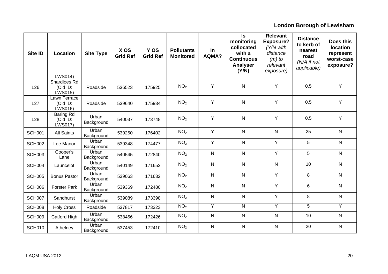| Site ID       | Location                                   | <b>Site Type</b>    | X OS<br><b>Grid Ref</b> | Y OS<br><b>Grid Ref</b> | <b>Pollutants</b><br><b>Monitored</b> | In<br>AQMA?  | $\mathsf{ls}$<br>monitoring<br>collocated<br>with a<br><b>Continuous</b><br><b>Analyser</b><br>(Y/N) | <b>Relevant</b><br><b>Exposure?</b><br>(Y/N with<br>distance<br>$(m)$ to<br>relevant<br>exposure) | <b>Distance</b><br>to kerb of<br>nearest<br>road<br>(N/A if not<br>applicable) | Does this<br><b>location</b><br>represent<br>worst-case<br>exposure? |
|---------------|--------------------------------------------|---------------------|-------------------------|-------------------------|---------------------------------------|--------------|------------------------------------------------------------------------------------------------------|---------------------------------------------------------------------------------------------------|--------------------------------------------------------------------------------|----------------------------------------------------------------------|
|               | <b>LWS014)</b>                             |                     |                         |                         |                                       |              |                                                                                                      |                                                                                                   |                                                                                |                                                                      |
| L26           | Shardloes Rd<br>(Old ID:<br><b>LWS015)</b> | Roadside            | 536523                  | 175925                  | NO <sub>2</sub>                       | Y            | $\mathsf{N}$                                                                                         | Y                                                                                                 | 0.5                                                                            | Y                                                                    |
| L27           | Lawn Terrace<br>(Old ID:<br><b>LWS016)</b> | Roadside            | 539640                  | 175934                  | NO <sub>2</sub>                       | Υ            | ${\sf N}$                                                                                            | Y                                                                                                 | 0.5                                                                            | Y                                                                    |
| L28           | Baring Rd<br>(Old ID:<br><b>LWS017)</b>    | Urban<br>Background | 540037                  | 173748                  | NO <sub>2</sub>                       | Υ            | ${\sf N}$                                                                                            | Y                                                                                                 | 0.5                                                                            | Y                                                                    |
| <b>SCH001</b> | <b>All Saints</b>                          | Urban<br>Background | 539250                  | 176402                  | NO <sub>2</sub>                       | Y            | $\mathsf{N}$                                                                                         | $\mathsf{N}$                                                                                      | 25                                                                             | $\mathsf{N}$                                                         |
| <b>SCH002</b> | Lee Manor                                  | Urban<br>Background | 539348                  | 174477                  | NO <sub>2</sub>                       | Y            | $\mathsf{N}$                                                                                         | Y                                                                                                 | 5                                                                              | $\mathsf{N}$                                                         |
| SCH003        | Cooper's<br>Lane                           | Urban<br>Background | 540545                  | 172840                  | NO <sub>2</sub>                       | $\mathsf{N}$ | $\mathsf{N}$                                                                                         | Y                                                                                                 | 5                                                                              | $\mathsf{N}$                                                         |
| SCH004        | Launcelot                                  | Urban<br>Background | 540149                  | 171652                  | NO <sub>2</sub>                       | ${\sf N}$    | ${\sf N}$                                                                                            | ${\sf N}$                                                                                         | 10                                                                             | $\mathsf{N}$                                                         |
| <b>SCH005</b> | <b>Bonus Pastor</b>                        | Urban<br>Background | 539063                  | 171632                  | NO <sub>2</sub>                       | $\mathsf{N}$ | ${\sf N}$                                                                                            | Y                                                                                                 | 8                                                                              | $\mathsf{N}$                                                         |
| <b>SCH006</b> | <b>Forster Park</b>                        | Urban<br>Background | 539369                  | 172480                  | NO <sub>2</sub>                       | $\mathsf{N}$ | $\mathsf{N}$                                                                                         | Y                                                                                                 | 6                                                                              | $\mathsf{N}$                                                         |
| SCH007        | Sandhurst                                  | Urban<br>Background | 539089                  | 173398                  | NO <sub>2</sub>                       | $\mathsf{N}$ | $\mathsf{N}$                                                                                         | Y                                                                                                 | 8                                                                              | $\mathsf{N}$                                                         |
| SCH008        | <b>Holy Cross</b>                          | Roadside            | 537817                  | 173323                  | NO <sub>2</sub>                       | Ÿ            | $\overline{N}$                                                                                       | $\overline{Y}$                                                                                    | 5                                                                              | $\overline{Y}$                                                       |
| <b>SCH009</b> | Catford High                               | Urban<br>Background | 538456                  | 172426                  | NO <sub>2</sub>                       | N            | ${\sf N}$                                                                                            | $\mathsf{N}$                                                                                      | 10                                                                             | N                                                                    |
| <b>SCH010</b> | Athelney                                   | Urban<br>Background | 537453                  | 172410                  | NO <sub>2</sub>                       | N            | $\mathsf{N}$                                                                                         | $\mathsf{N}$                                                                                      | 20                                                                             | N                                                                    |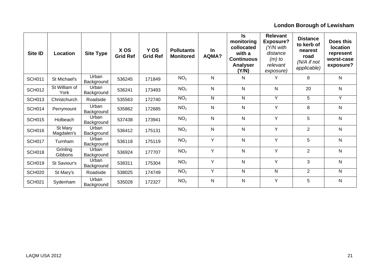| <b>Site ID</b> | Location              | <b>Site Type</b>    | X OS<br><b>Grid Ref</b> | Y OS<br><b>Grid Ref</b> | <b>Pollutants</b><br><b>Monitored</b> | In<br><b>AQMA?</b> | <b>Is</b><br>monitoring<br>collocated<br>with a<br><b>Continuous</b><br>Analyser<br>(Y/N) | <b>Relevant</b><br><b>Exposure?</b><br>$(Y/N$ with<br>distance<br>$(m)$ to<br>relevant<br>exposure) | <b>Distance</b><br>to kerb of<br>nearest<br>road<br>$(N/A)$ if not<br>applicable) | Does this<br><b>location</b><br>represent<br>worst-case<br>exposure? |
|----------------|-----------------------|---------------------|-------------------------|-------------------------|---------------------------------------|--------------------|-------------------------------------------------------------------------------------------|-----------------------------------------------------------------------------------------------------|-----------------------------------------------------------------------------------|----------------------------------------------------------------------|
| <b>SCH011</b>  | St Michael's          | Urban<br>Background | 536245                  | 171849                  | NO <sub>2</sub>                       | $\mathsf{N}$       | N                                                                                         | Y                                                                                                   | 8                                                                                 | N                                                                    |
| <b>SCH012</b>  | St William of<br>York | Urban<br>Background | 536241                  | 173493                  | NO <sub>2</sub>                       | N                  | N                                                                                         | N                                                                                                   | 20                                                                                | N                                                                    |
| <b>SCH013</b>  | Christchurch          | Roadside            | 535563                  | 172740                  | NO <sub>2</sub>                       | N                  | N                                                                                         | Y                                                                                                   | 5                                                                                 | Y                                                                    |
| <b>SCH014</b>  | Perrymount            | Urban<br>Background | 535862                  | 172685                  | NO <sub>2</sub>                       | N                  | N                                                                                         | Y                                                                                                   | 8                                                                                 | N                                                                    |
| <b>SCH015</b>  | Holbeach              | Urban<br>Background | 537438                  | 173941                  | NO <sub>2</sub>                       | N                  | N                                                                                         | Y                                                                                                   | 5                                                                                 | N                                                                    |
| <b>SCH016</b>  | St Mary<br>Magdalen's | Urban<br>Background | 536412                  | 175131                  | NO <sub>2</sub>                       | N                  | N                                                                                         | Y                                                                                                   | $\overline{2}$                                                                    | N                                                                    |
| <b>SCH017</b>  | Turnham               | Urban<br>Background | 536118                  | 175119                  | NO <sub>2</sub>                       | Υ                  | N                                                                                         | Y                                                                                                   | 5                                                                                 | N                                                                    |
| <b>SCH018</b>  | Grinling<br>Gibbons   | Urban<br>Background | 536924                  | 177707                  | NO <sub>2</sub>                       | Y                  | N                                                                                         | Y                                                                                                   | $\overline{2}$                                                                    | N                                                                    |
| <b>SCH019</b>  | St Saviour's          | Urban<br>Background | 538311                  | 175304                  | NO <sub>2</sub>                       | Y                  | N                                                                                         | Y                                                                                                   | 3                                                                                 | N                                                                    |
| <b>SCH020</b>  | St Mary's             | Roadside            | 538025                  | 174749                  | NO <sub>2</sub>                       | Y                  | N                                                                                         | $\mathsf{N}$                                                                                        | $\overline{2}$                                                                    | $\overline{N}$                                                       |
| <b>SCH021</b>  | Sydenham              | Urban<br>Background | 535028                  | 172327                  | NO <sub>2</sub>                       | N                  | ${\sf N}$                                                                                 | Y                                                                                                   | 5                                                                                 | N                                                                    |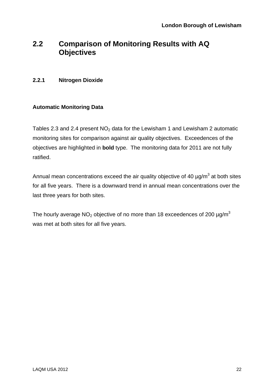### <span id="page-22-0"></span>**2.2 Comparison of Monitoring Results with AQ Objectives**

#### **2.2.1 Nitrogen Dioxide**

#### **Automatic Monitoring Data**

Tables 2.3 and 2.4 present  $NO<sub>2</sub>$  data for the Lewisham 1 and Lewisham 2 automatic monitoring sites for comparison against air quality objectives. Exceedences of the objectives are highlighted in **bold** type. The monitoring data for 2011 are not fully ratified.

Annual mean concentrations exceed the air quality objective of 40  $\mu$ g/m<sup>3</sup> at both sites for all five years. There is a downward trend in annual mean concentrations over the last three years for both sites.

The hourly average  $NO<sub>2</sub>$  objective of no more than 18 exceedences of 200  $\mu$ g/m<sup>3</sup> was met at both sites for all five years.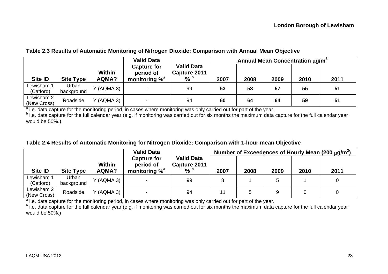#### **Table 2.3 Results of Automatic Monitoring of Nitrogen Dioxide: Comparison with Annual Mean Objective**

|                           |                     |                               | <b>Valid Data</b>                                    |                                                    | Annual Mean Concentration µg/m <sup>3</sup> |      |      |      |      |  |
|---------------------------|---------------------|-------------------------------|------------------------------------------------------|----------------------------------------------------|---------------------------------------------|------|------|------|------|--|
| <b>Site ID</b>            | <b>Site Type</b>    | <b>Within</b><br><b>AQMA?</b> | <b>Capture for</b><br>period of<br>monitoring $\%^a$ | <b>Valid Data</b><br>Capture 2011<br>$%$ $\degree$ | 2007                                        | 2008 | 2009 | 2010 | 2011 |  |
| Lewisham 1<br>(Catford)   | Urban<br>background | Y (AQMA 3)                    |                                                      | 99                                                 | 53                                          | 53   | 57   | 55   | 51   |  |
| Lewisham 2<br>(New Cross) | Roadside            | (AQMA 3)<br>$\checkmark$      |                                                      | 94                                                 | 60                                          | 64   | 64   | 59   | 51   |  |

<sup>a</sup> i.e. data capture for the monitoring period, in cases where monitoring was only carried out for part of the year.

b i.e. data capture for the full calendar year (e.g. if monitoring was carried out for six months the maximum data capture for the full calendar year would be 50%.)

#### **Table 2.4 Results of Automatic Monitoring for Nitrogen Dioxide: Comparison with 1-hour mean Objective**

|                           |                     |                        | <b>Valid Data</b>                                    |                                                    | Number of Exceedences of Hourly Mean (200 $\mu$ g/m <sup>3</sup> ) |      |      |      |      |  |
|---------------------------|---------------------|------------------------|------------------------------------------------------|----------------------------------------------------|--------------------------------------------------------------------|------|------|------|------|--|
| Site ID                   | <b>Site Type</b>    | Within<br><b>AQMA?</b> | <b>Capture for</b><br>period of<br>monitoring $\%^a$ | <b>Valid Data</b><br>Capture 2011<br>$%$ $\degree$ | 2007                                                               | 2008 | 2009 | 2010 | 2011 |  |
| Lewisham 1<br>(Catford)   | Urban<br>background | Y (AQMA 3)             |                                                      | 99                                                 |                                                                    |      |      |      |      |  |
| Lewisham 2<br>(New Cross) | Roadside            | Y (AQMA 3)             |                                                      | 94                                                 |                                                                    |      |      |      |      |  |

<sup>a</sup> i.e. data capture for the monitoring period, in cases where monitoring was only carried out for part of the year.

<span id="page-23-0"></span>b i.e. data capture for the full calendar year (e.g. if monitoring was carried out for six months the maximum data capture for the full calendar year would be 50%.)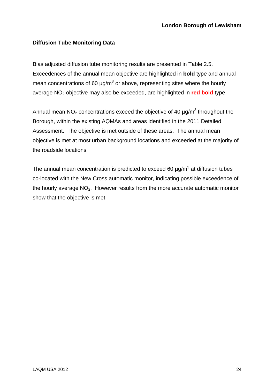#### **Diffusion Tube Monitoring Data**

Bias adjusted diffusion tube monitoring results are presented in Table 2.5. Exceedences of the annual mean objective are highlighted in **bold** type and annual mean concentrations of 60  $\mu$ g/m<sup>3</sup> or above, representing sites where the hourly average NO2 objective may also be exceeded, are highlighted in **red bold** type.

Annual mean NO<sub>2</sub> concentrations exceed the objective of 40  $\mu$ g/m<sup>3</sup> throughout the Borough, within the existing AQMAs and areas identified in the 2011 Detailed Assessment. The objective is met outside of these areas. The annual mean objective is met at most urban background locations and exceeded at the majority of the roadside locations.

The annual mean concentration is predicted to exceed 60  $\mu$ g/m<sup>3</sup> at diffusion tubes co-located with the New Cross automatic monitor, indicating possible exceedence of the hourly average NO<sub>2</sub>. However results from the more accurate automatic monitor show that the objective is met.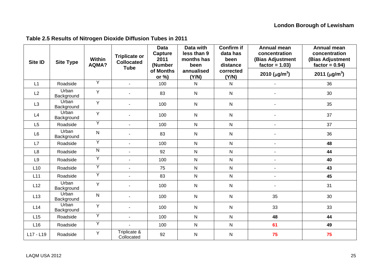<span id="page-25-0"></span>

| <b>Site ID</b> | <b>Site Type</b>    | <b>Within</b><br>AQMA? | <b>Triplicate or</b><br><b>Collocated</b><br><b>Tube</b> | <b>Data</b><br><b>Capture</b><br>2011<br>(Number | Data with<br>less than 9<br>months has<br>been | <b>Confirm if</b><br>data has<br>been<br>distance | <b>Annual mean</b><br>concentration<br>(Bias Adjustment<br>$factor = 1.03$ | Annual mean<br>concentration<br>(Bias Adjustment<br>$factor = 0.94$ |
|----------------|---------------------|------------------------|----------------------------------------------------------|--------------------------------------------------|------------------------------------------------|---------------------------------------------------|----------------------------------------------------------------------------|---------------------------------------------------------------------|
|                |                     |                        |                                                          | of Months<br>or $%$                              | annualised<br>(Y/N)                            | corrected<br>(Y/N)                                | 2010 ( $\mu$ g/m <sup>3</sup> )                                            | 2011 ( $\mu$ g/m <sup>3</sup> )                                     |
| L1             | Roadside            | $\overline{Y}$         | $\blacksquare$                                           | 100                                              | N                                              | $\mathsf{N}$                                      | ä,                                                                         | 36                                                                  |
| L2             | Urban<br>Background | Y                      |                                                          | 83                                               | $\mathsf{N}$                                   | ${\sf N}$                                         |                                                                            | 30                                                                  |
| L3             | Urban<br>Background | Y                      |                                                          | 100                                              | $\mathsf{N}$                                   | $\mathsf{N}$                                      | ä,                                                                         | 35                                                                  |
| L4             | Urban<br>Background | Y                      |                                                          | 100                                              | $\mathsf{N}$                                   | $\mathsf{N}$                                      |                                                                            | 37                                                                  |
| L5             | Roadside            | Y                      | ÷.                                                       | 100                                              | $\mathsf{N}$                                   | ${\sf N}$                                         | $\blacksquare$                                                             | 37                                                                  |
| L <sub>6</sub> | Urban<br>Background | $\mathsf{N}$           |                                                          | 83                                               | $\mathsf{N}$                                   | $\mathsf{N}$                                      |                                                                            | 36                                                                  |
| L7             | Roadside            | $\overline{Y}$         | $\blacksquare$                                           | 100                                              | ${\sf N}$                                      | $\mathsf{N}$                                      | $\blacksquare$                                                             | 48                                                                  |
| L <sub>8</sub> | Roadside            | ${\sf N}$              |                                                          | 92                                               | ${\sf N}$                                      | $\mathsf{N}$                                      | $\blacksquare$                                                             | 44                                                                  |
| L <sub>9</sub> | Roadside            | $\overline{Y}$         |                                                          | 100                                              | ${\sf N}$                                      | ${\sf N}$                                         | ä,                                                                         | 40                                                                  |
| L10            | Roadside            | $\overline{Y}$         |                                                          | 75                                               | ${\sf N}$                                      | ${\sf N}$                                         | $\blacksquare$                                                             | 43                                                                  |
| L11            | Roadside            | $\overline{Y}$         | ÷.                                                       | 83                                               | $\mathsf{N}$                                   | ${\sf N}$                                         | $\sim$                                                                     | 45                                                                  |
| L12            | Urban<br>Background | Y                      |                                                          | 100                                              | ${\sf N}$                                      | ${\sf N}$                                         | $\blacksquare$                                                             | 31                                                                  |
| L13            | Urban<br>Background | ${\sf N}$              |                                                          | 100                                              | $\mathsf{N}$                                   | ${\sf N}$                                         | 35                                                                         | 30                                                                  |
| L14            | Urban<br>Background | Y                      |                                                          | 100                                              | $\mathsf{N}$                                   | ${\sf N}$                                         | 33                                                                         | 33                                                                  |
| L15            | Roadside            | Y                      | $\overline{a}$                                           | 100                                              | $\mathsf{N}$                                   | ${\sf N}$                                         | 48                                                                         | 44                                                                  |
| L16            | Roadside            | $\overline{Y}$         |                                                          | 100                                              | $\mathsf{N}$                                   | ${\sf N}$                                         | 61                                                                         | 49                                                                  |
| L17 - L19      | Roadside            | Y                      | Triplicate &<br>Collocated                               | 92                                               | $\mathsf{N}$                                   | ${\sf N}$                                         | 75                                                                         | 75                                                                  |

### **Table 2.5 Results of Nitrogen Dioxide Diffusion Tubes in 2011**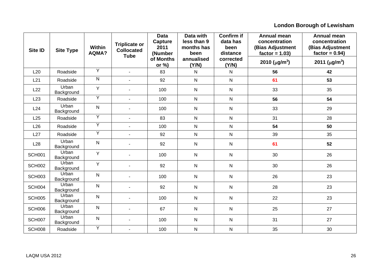| Site ID       | <b>Site Type</b>           | Within<br>AQMA? | <b>Triplicate or</b><br><b>Collocated</b><br><b>Tube</b> | <b>Data</b><br><b>Capture</b><br>2011<br>(Number | Data with<br>less than 9<br>months has<br>been | <b>Confirm if</b><br>data has<br>been<br>distance | <b>Annual mean</b><br>concentration<br>(Bias Adjustment<br>$factor = 1.03$ | <b>Annual mean</b><br>concentration<br>(Bias Adjustment<br>$factor = 0.94$ |
|---------------|----------------------------|-----------------|----------------------------------------------------------|--------------------------------------------------|------------------------------------------------|---------------------------------------------------|----------------------------------------------------------------------------|----------------------------------------------------------------------------|
|               |                            |                 |                                                          | of Months<br>or $\%$ )                           | annualised<br>(Y/N)                            | corrected<br>(Y/N)                                | 2010 ( $\mu$ g/m <sup>3</sup> )                                            | 2011 ( $\mu$ g/m <sup>3</sup> )                                            |
| L20           | Roadside                   | Y               | $\sim$                                                   | 83                                               | $\mathsf{N}$                                   | $\mathsf{N}$                                      | 56                                                                         | 42                                                                         |
| L21           | Roadside                   | $\overline{N}$  |                                                          | 92                                               | ${\sf N}$                                      | ${\sf N}$                                         | 61                                                                         | 53                                                                         |
| L22           | Urban<br>Background        | Y               |                                                          | 100                                              | $\mathsf{N}$                                   | ${\sf N}$                                         | 33                                                                         | 35                                                                         |
| L23           | Roadside                   | Y               |                                                          | 100                                              | $\mathsf{N}$                                   | ${\sf N}$                                         | 56                                                                         | 54                                                                         |
| L24           | <b>Urban</b><br>Background | ${\sf N}$       |                                                          | 100                                              | $\mathsf{N}$                                   | ${\sf N}$                                         | 33                                                                         | 29                                                                         |
| L25           | Roadside                   | Y               |                                                          | 83                                               | ${\sf N}$                                      | ${\sf N}$                                         | 31                                                                         | 28                                                                         |
| L26           | Roadside                   | $\overline{Y}$  |                                                          | 100                                              | ${\sf N}$                                      | ${\sf N}$                                         | 54                                                                         | 50                                                                         |
| L27           | Roadside                   | $\overline{Y}$  |                                                          | 92                                               | ${\sf N}$                                      | ${\sf N}$                                         | 39                                                                         | 35                                                                         |
| L28           | Urban<br>Background        | $\mathsf{N}$    |                                                          | 92                                               | ${\sf N}$                                      | ${\sf N}$                                         | 61                                                                         | 52                                                                         |
| <b>SCH001</b> | Urban<br>Background        | Y               |                                                          | 100                                              | ${\sf N}$                                      | ${\sf N}$                                         | 30                                                                         | 26                                                                         |
| <b>SCH002</b> | Urban<br>Background        | Y               |                                                          | 92                                               | ${\sf N}$                                      | ${\sf N}$                                         | 30                                                                         | 26                                                                         |
| <b>SCH003</b> | Urban<br>Background        | $\mathsf{N}$    |                                                          | 100                                              | ${\sf N}$                                      | ${\sf N}$                                         | 26                                                                         | 23                                                                         |
| SCH004        | Urban<br>Background        | ${\sf N}$       |                                                          | 92                                               | $\mathsf{N}$                                   | $\mathsf{N}$                                      | 28                                                                         | 23                                                                         |
| <b>SCH005</b> | Urban<br>Background        | N               |                                                          | 100                                              | ${\sf N}$                                      | ${\sf N}$                                         | 22                                                                         | 23                                                                         |
| SCH006        | Urban<br>Background        | $\mathsf{N}$    |                                                          | 67                                               | ${\sf N}$                                      | ${\sf N}$                                         | 25                                                                         | 27                                                                         |
| SCH007        | Urban<br>Background        | $\mathsf{N}$    |                                                          | 100                                              | ${\sf N}$                                      | ${\sf N}$                                         | 31                                                                         | 27                                                                         |
| <b>SCH008</b> | Roadside                   | Y               |                                                          | 100                                              | $\mathsf{N}$                                   | $\overline{N}$                                    | 35                                                                         | 30                                                                         |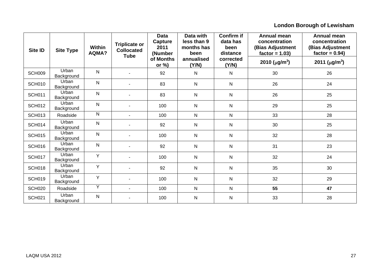| <b>Site ID</b> | <b>Site Type</b>    | Within<br>AQMA? | <b>Triplicate or</b><br><b>Collocated</b><br><b>Tube</b> | <b>Data</b><br>Capture<br>2011<br>(Number | Data with<br>less than 9<br>months has<br>been | <b>Confirm if</b><br>data has<br>been<br>distance | <b>Annual mean</b><br>concentration<br>(Bias Adjustment<br>$factor = 1.03$ | Annual mean<br>concentration<br>(Bias Adjustment<br>$factor = 0.94$ |
|----------------|---------------------|-----------------|----------------------------------------------------------|-------------------------------------------|------------------------------------------------|---------------------------------------------------|----------------------------------------------------------------------------|---------------------------------------------------------------------|
|                |                     |                 |                                                          | of Months<br>or $\%$ )                    | annualised<br>(Y/N)                            | corrected<br>(Y/N)                                | 2010 ( $\mu$ g/m <sup>3</sup> )                                            | 2011 ( $\mu$ g/m <sup>3</sup> )                                     |
| <b>SCH009</b>  | Urban<br>Background | N               |                                                          | 92                                        | N                                              | N                                                 | 30                                                                         | 26                                                                  |
| <b>SCH010</b>  | Urban<br>Background | N               |                                                          | 83                                        | $\mathsf{N}$                                   | $\mathsf{N}$                                      | 26                                                                         | 24                                                                  |
| <b>SCH011</b>  | Urban<br>Background | $\mathsf{N}$    |                                                          | 83                                        | N                                              | $\mathsf{N}$                                      | 26                                                                         | 25                                                                  |
| <b>SCH012</b>  | Urban<br>Background | N               |                                                          | 100                                       | $\mathsf{N}$                                   | $\mathsf{N}$                                      | 29                                                                         | 25                                                                  |
| <b>SCH013</b>  | Roadside            | $\mathsf{N}$    |                                                          | 100                                       | $\mathsf{N}$                                   | $\mathsf{N}$                                      | 33                                                                         | 28                                                                  |
| <b>SCH014</b>  | Urban<br>Background | $\mathsf{N}$    |                                                          | 92                                        | $\mathsf{N}$                                   | $\mathsf{N}$                                      | 30                                                                         | 25                                                                  |
| <b>SCH015</b>  | Urban<br>Background | N               |                                                          | 100                                       | $\mathsf{N}$                                   | $\mathsf{N}$                                      | 32                                                                         | 28                                                                  |
| <b>SCH016</b>  | Urban<br>Background | $\mathsf{N}$    |                                                          | 92                                        | $\mathsf{N}$                                   | ${\sf N}$                                         | 31                                                                         | 23                                                                  |
| <b>SCH017</b>  | Urban<br>Background | Y               |                                                          | 100                                       | $\mathsf{N}$                                   | $\mathsf{N}$                                      | 32                                                                         | 24                                                                  |
| <b>SCH018</b>  | Urban<br>Background | Y               |                                                          | 92                                        | $\mathsf{N}$                                   | $\mathsf{N}$                                      | 35                                                                         | 30                                                                  |
| <b>SCH019</b>  | Urban<br>Background | Y               |                                                          | 100                                       | $\mathsf{N}$                                   | $\mathsf{N}$                                      | 32                                                                         | 29                                                                  |
| <b>SCH020</b>  | Roadside            | Y               |                                                          | 100                                       | $\mathsf{N}$                                   | $\mathsf{N}$                                      | 55                                                                         | 47                                                                  |
| <b>SCH021</b>  | Urban<br>Background | $\mathsf{N}$    |                                                          | 100                                       | $\mathsf{N}$                                   | $\mathsf{N}$                                      | 33                                                                         | 28                                                                  |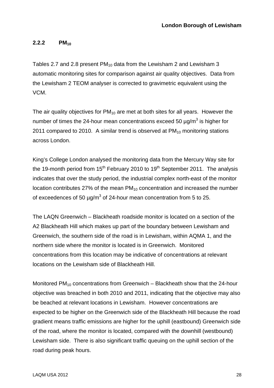#### <span id="page-28-0"></span>**2.2.2 PM10**

Tables 2.7 and 2.8 present  $PM_{10}$  data from the Lewisham 2 and Lewisham 3 automatic monitoring sites for comparison against air quality objectives. Data from the Lewisham 2 TEOM analyser is corrected to gravimetric equivalent using the VCM.

The air quality objectives for  $PM_{10}$  are met at both sites for all years. However the number of times the 24-hour mean concentrations exceed 50  $\mu$ g/m<sup>3</sup> is higher for 2011 compared to 2010. A similar trend is observed at PM<sub>10</sub> monitoring stations across London.

King's College London analysed the monitoring data from the Mercury Way site for the 19-month period from  $15<sup>th</sup>$  February 2010 to 19<sup>th</sup> September 2011. The analysis indicates that over the study period, the industrial complex north-east of the monitor location contributes 27% of the mean  $PM_{10}$  concentration and increased the number of exceedences of 50  $\mu$ g/m<sup>3</sup> of 24-hour mean concentration from 5 to 25.

The LAQN Greenwich – Blackheath roadside monitor is located on a section of the A2 Blackheath Hill which makes up part of the boundary between Lewisham and Greenwich, the southern side of the road is in Lewisham, within AQMA 1, and the northern side where the monitor is located is in Greenwich. Monitored concentrations from this location may be indicative of concentrations at relevant locations on the Lewisham side of Blackheath Hill.

Monitored PM<sub>10</sub> concentrations from Greenwich – Blackheath show that the 24-hour objective was breached in both 2010 and 2011, indicating that the objective may also be beached at relevant locations in Lewisham. However concentrations are expected to be higher on the Greenwich side of the Blackheath Hill because the road gradient means traffic emissions are higher for the uphill (eastbound) Greenwich side of the road, where the monitor is located, compared with the downhill (westbound) Lewisham side. There is also significant traffic queuing on the uphill section of the road during peak hours.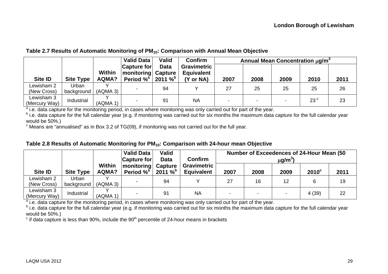#### **Table 2.7 Results of Automatic Monitoring of PM10: Comparison with Annual Mean Objective**

|                |                  |          | <b>Valid Data</b>                          | Valid       | <b>Confirm</b>                          |      | Annual Mean Concentration µg/m <sup>3</sup> |      |              |      |
|----------------|------------------|----------|--------------------------------------------|-------------|-----------------------------------------|------|---------------------------------------------|------|--------------|------|
|                |                  | Within   | <b>Capture for</b><br> monitoring  Capture | <b>Data</b> | <b>Gravimetric</b><br><b>Equivalent</b> |      |                                             |      |              |      |
| <b>Site ID</b> | <b>Site Type</b> | AQMA?    | Period $\%^a$   2011 $\%^b$                |             | (Y or NA)                               | 2007 | 2008                                        | 2009 | 2010         | 2011 |
| Lewisham 2     | Urban            |          |                                            | 94          |                                         | 27   | 25                                          | 25   | 25           | 26   |
| (New Cross)    | background       | (AQMA 3) |                                            |             |                                         |      |                                             |      |              |      |
| Lewisham 3     | Industrial       |          |                                            | 91          | <b>NA</b>                               |      | -                                           |      | $23^{\circ}$ | 23   |
| (Mercury Way)  |                  | (AQMA 1) |                                            |             |                                         |      |                                             |      |              |      |

<sup>a</sup> i.e. data capture for the monitoring period, in cases where monitoring was only carried out for part of the year.

b i.e. data capture for the full calendar year (e.g. if monitoring was carried out for six months the maximum data capture for the full calendar year would be 50%.)

 $\degree$  Means are "annualised" as in Box 3.2 of TG(09), if monitoring was not carried out for the full year.

| Table 2.8 Results of Automatic Monitoring for PM <sub>10</sub> : Comparison with 24-hour mean Objective |  |  |  |
|---------------------------------------------------------------------------------------------------------|--|--|--|
|---------------------------------------------------------------------------------------------------------|--|--|--|

|                             |                     |                        | <b>Valid Data</b><br><b>Capture for</b> | Valid<br><b>Data</b> | Confirm                                 | Number of Exceedences of 24-Hour Mean (50<br>$\mu$ g/m $^3)$ |      |      |                |      |  |
|-----------------------------|---------------------|------------------------|-----------------------------------------|----------------------|-----------------------------------------|--------------------------------------------------------------|------|------|----------------|------|--|
| <b>Site ID</b>              | <b>Site Type</b>    | <b>Within</b><br>AQMA? | monitoring  <br>Period $\%^a$           | Capture<br>$2011 \%$ | <b>Gravimetric</b><br><b>Equivalent</b> | 2007                                                         | 2008 | 2009 | $2010^{\circ}$ | 2011 |  |
| Lewisham 2<br>(New Cross)   | Urban<br>background | (AQMA 3)               |                                         | 94                   |                                         | 27                                                           | 16   | 12   |                | 19   |  |
| Lewisham 3<br>(Mercury Way) | Industrial          | (AQMA 1)               |                                         | 91                   | <b>NA</b>                               | -                                                            |      |      | 4(39)          | 22   |  |

<sup>a</sup> i.e. data capture for the monitoring period, in cases where monitoring was only carried out for part of the year.

b i.e. data capture for the full calendar year (e.g. if monitoring was carried out for six months the maximum data capture for the full calendar year would be 50%.)

<span id="page-29-0"></span> $\degree$  if data capture is less than 90%, include the 90<sup>th</sup> percentile of 24-hour means in brackets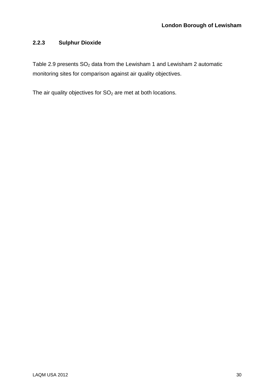#### <span id="page-30-0"></span>**2.2.3 Sulphur Dioxide**

Table 2.9 presents  $SO<sub>2</sub>$  data from the Lewisham 1 and Lewisham 2 automatic monitoring sites for comparison against air quality objectives.

The air quality objectives for  $SO<sub>2</sub>$  are met at both locations.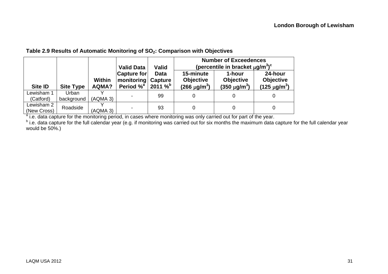#### Table 2.9 Results of Automatic Monitoring of SO<sub>2</sub>: Comparison with Objectives

|                           |                     |                        |                                                       |                                                       |                                                              | <b>Number of Exceedences</b>                         |                                                    |  |
|---------------------------|---------------------|------------------------|-------------------------------------------------------|-------------------------------------------------------|--------------------------------------------------------------|------------------------------------------------------|----------------------------------------------------|--|
|                           |                     |                        | <b>Valid Data</b>                                     | Valid                                                 | (percentile in bracket $\mu$ g/m <sup>3</sup> ) <sup>c</sup> |                                                      |                                                    |  |
| <b>Site ID</b>            | <b>Site Type</b>    | <b>Within</b><br>AQMA? | Capture for<br>monitoring<br>Period $\%$ <sup>a</sup> | <b>Data</b><br><b>Capture</b><br>2011 $\%^{\text{b}}$ | 15-minute<br><b>Objective</b><br>$(266 \text{ µg/m}^3)$      | 1-hour<br><b>Objective</b><br>$(350 \text{ µg/m}^3)$ | 24-hour<br><b>Objective</b><br>$(125 \,\mu g/m^3)$ |  |
| Lewisham 1<br>(Catford)   | Urban<br>background | (AQMA 3)               |                                                       | 99                                                    |                                                              |                                                      |                                                    |  |
| Lewisham 2<br>(New Cross) | Roadside            | (AQMA 3)               |                                                       | 93                                                    |                                                              | 0                                                    |                                                    |  |

<sup>a</sup> i.e. data capture for the monitoring period, in cases where monitoring was only carried out for part of the year.

<span id="page-31-0"></span><sup>b</sup> i.e. data capture for the full calendar year (e.g. if monitoring was carried out for six months the maximum data capture for the full calendar year would be 50%.)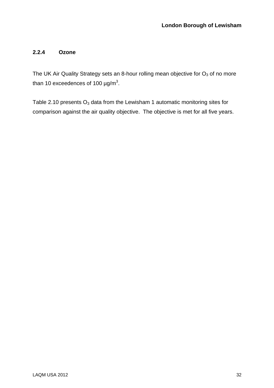#### <span id="page-32-0"></span>**2.2.4 Ozone**

The UK Air Quality Strategy sets an 8-hour rolling mean objective for  $O_3$  of no more than 10 exceedences of 100  $\mu$ g/m<sup>3</sup>.

Table 2.10 presents  $O_3$  data from the Lewisham 1 automatic monitoring sites for comparison against the air quality objective. The objective is met for all five years.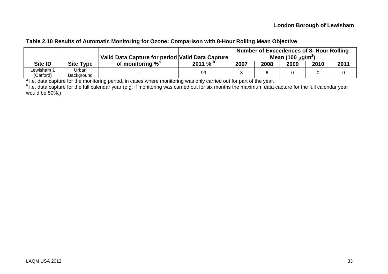| Table 2.10 Results of Automatic Monitoring for Ozone: Comparison with 8-Hour Rolling Mean Objective |  |  |
|-----------------------------------------------------------------------------------------------------|--|--|
|                                                                                                     |  |  |

|                         |                     | Valid Data Capture for period Valid Data Capture | Number of Exceedences of 8- Hour Rolling<br>Mean (100 $\mu$ g/m <sup>3</sup> ) |      |      |      |      |      |
|-------------------------|---------------------|--------------------------------------------------|--------------------------------------------------------------------------------|------|------|------|------|------|
| Site ID                 | <b>Site Type</b>    | of monitoring % <sup>a</sup>                     | 2011%                                                                          | 2007 | 2008 | 2009 | 2010 | 2011 |
| Lewisham 1<br>(Catford) | Urban<br>Background |                                                  | 99                                                                             |      |      |      |      |      |

<sup>a</sup> i.e. data capture for the monitoring period, in cases where monitoring was only carried out for part of the year.

<span id="page-33-0"></span><sup>b</sup> i.e. data capture for the full calendar year (e.g. if monitoring was carried out for six months the maximum data capture for the full calendar year would be 50%.)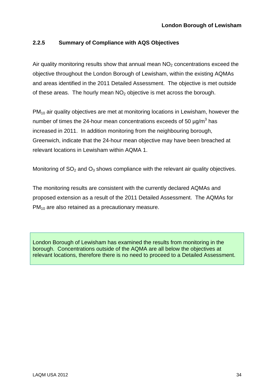#### <span id="page-34-0"></span>**2.2.5 Summary of Compliance with AQS Objectives**

Air quality monitoring results show that annual mean  $NO<sub>2</sub>$  concentrations exceed the objective throughout the London Borough of Lewisham, within the existing AQMAs and areas identified in the 2011 Detailed Assessment. The objective is met outside of these areas. The hourly mean  $NO<sub>2</sub>$  objective is met across the borough.

 $PM_{10}$  air quality objectives are met at monitoring locations in Lewisham, however the number of times the 24-hour mean concentrations exceeds of 50  $\mu$ g/m<sup>3</sup> has increased in 2011. In addition monitoring from the neighbouring borough, Greenwich, indicate that the 24-hour mean objective may have been breached at relevant locations in Lewisham within AQMA 1.

Monitoring of  $SO<sub>2</sub>$  and  $O<sub>3</sub>$  shows compliance with the relevant air quality objectives.

The monitoring results are consistent with the currently declared AQMAs and proposed extension as a result of the 2011 Detailed Assessment. The AQMAs for  $PM<sub>10</sub>$  are also retained as a precautionary measure.

London Borough of Lewisham has examined the results from monitoring in the borough. Concentrations outside of the AQMA are all below the objectives at relevant locations, therefore there is no need to proceed to a Detailed Assessment.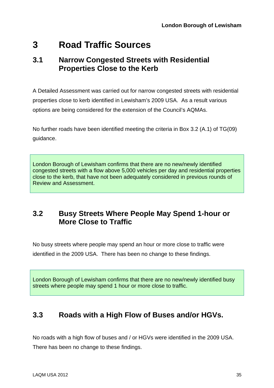# <span id="page-35-0"></span>**3 Road Traffic Sources**

### **3.1 Narrow Congested Streets with Residential Properties Close to the Kerb**

A Detailed Assessment was carried out for narrow congested streets with residential properties close to kerb identified in Lewisham's 2009 USA. As a result various options are being considered for the extension of the Council's AQMAs.

No further roads have been identified meeting the criteria in Box 3.2 (A.1) of TG(09) guidance.

London Borough of Lewisham confirms that there are no new/newly identified congested streets with a flow above 5,000 vehicles per day and residential properties close to the kerb, that have not been adequately considered in previous rounds of Review and Assessment.

### **3.2 Busy Streets Where People May Spend 1-hour or More Close to Traffic**

No busy streets where people may spend an hour or more close to traffic were identified in the 2009 USA. There has been no change to these findings.

London Borough of Lewisham confirms that there are no new/newly identified busy streets where people may spend 1 hour or more close to traffic.

### **3.3 Roads with a High Flow of Buses and/or HGVs.**

No roads with a high flow of buses and / or HGVs were identified in the 2009 USA. There has been no change to these findings.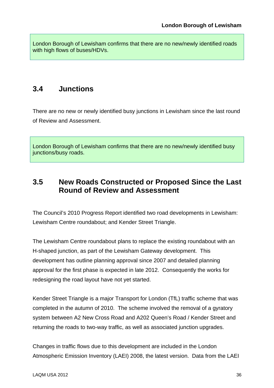<span id="page-36-0"></span>London Borough of Lewisham confirms that there are no new/newly identified roads with high flows of buses/HDVs.

### **3.4 Junctions**

There are no new or newly identified busy junctions in Lewisham since the last round of Review and Assessment.

London Borough of Lewisham confirms that there are no new/newly identified busy junctions/busy roads.

### **3.5 New Roads Constructed or Proposed Since the Last Round of Review and Assessment**

The Council's 2010 Progress Report identified two road developments in Lewisham: Lewisham Centre roundabout; and Kender Street Triangle.

The Lewisham Centre roundabout plans to replace the existing roundabout with an H-shaped junction, as part of the Lewisham Gateway development. This development has outline planning approval since 2007 and detailed planning approval for the first phase is expected in late 2012. Consequently the works for redesigning the road layout have not yet started.

Kender Street Triangle is a major Transport for London (TfL) traffic scheme that was completed in the autumn of 2010. The scheme involved the removal of a gyratory system between A2 New Cross Road and A202 Queen's Road / Kender Street and returning the roads to two-way traffic, as well as associated junction upgrades.

Changes in traffic flows due to this development are included in the London Atmospheric Emission Inventory (LAEI) 2008, the latest version. Data from the LAEI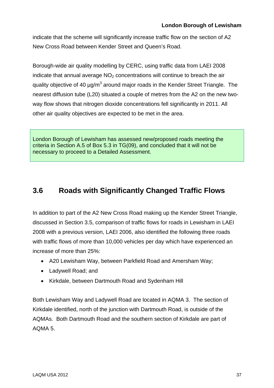<span id="page-37-0"></span>indicate that the scheme will significantly increase traffic flow on the section of A2 New Cross Road between Kender Street and Queen's Road.

Borough-wide air quality modelling by CERC, using traffic data from LAEI 2008 indicate that annual average  $NO<sub>2</sub>$  concentrations will continue to breach the air quality objective of 40  $\mu$ g/m<sup>3</sup> around major roads in the Kender Street Triangle. The nearest diffusion tube (L20) situated a couple of metres from the A2 on the new twoway flow shows that nitrogen dioxide concentrations fell significantly in 2011. All other air quality objectives are expected to be met in the area.

London Borough of Lewisham has assessed new/proposed roads meeting the criteria in Section A.5 of Box 5.3 in TG(09), and concluded that it will not be necessary to proceed to a Detailed Assessment.

### **3.6 Roads with Significantly Changed Traffic Flows**

In addition to part of the A2 New Cross Road making up the Kender Street Triangle, discussed in Section 3.5, comparison of traffic flows for roads in Lewisham in LAEI 2008 with a previous version, LAEI 2006, also identified the following three roads with traffic flows of more than 10,000 vehicles per day which have experienced an increase of more than 25%:

- A20 Lewisham Way, between Parkfield Road and Amersham Way;
- Ladywell Road; and
- Kirkdale, between Dartmouth Road and Sydenham Hill

Both Lewisham Way and Ladywell Road are located in AQMA 3. The section of Kirkdale identified, north of the junction with Dartmouth Road, is outside of the AQMAs. Both Dartmouth Road and the southern section of Kirkdale are part of AQMA 5.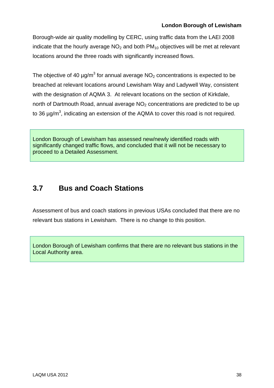<span id="page-38-0"></span>Borough-wide air quality modelling by CERC, using traffic data from the LAEI 2008 indicate that the hourly average  $NO<sub>2</sub>$  and both  $PM<sub>10</sub>$  objectives will be met at relevant locations around the three roads with significantly increased flows.

The objective of 40  $\mu$ g/m $^3$  for annual average NO<sub>2</sub> concentrations is expected to be breached at relevant locations around Lewisham Way and Ladywell Way, consistent with the designation of AQMA 3. At relevant locations on the section of Kirkdale, north of Dartmouth Road, annual average  $NO<sub>2</sub>$  concentrations are predicted to be up to 36  $\mu$ g/m<sup>3</sup>, indicating an extension of the AQMA to cover this road is not required.

London Borough of Lewisham has assessed new/newly identified roads with significantly changed traffic flows, and concluded that it will not be necessary to proceed to a Detailed Assessment.

## **3.7 Bus and Coach Stations**

Assessment of bus and coach stations in previous USAs concluded that there are no relevant bus stations in Lewisham. There is no change to this position.

London Borough of Lewisham confirms that there are no relevant bus stations in the Local Authority area.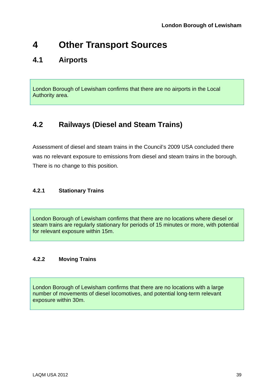# <span id="page-39-0"></span>**4 Other Transport Sources**

### **4.1 Airports**

London Borough of Lewisham confirms that there are no airports in the Local Authority area.

### **4.2 Railways (Diesel and Steam Trains)**

Assessment of diesel and steam trains in the Council's 2009 USA concluded there was no relevant exposure to emissions from diesel and steam trains in the borough. There is no change to this position.

#### **4.2.1 Stationary Trains**

London Borough of Lewisham confirms that there are no locations where diesel or steam trains are regularly stationary for periods of 15 minutes or more, with potential for relevant exposure within 15m.

#### **4.2.2 Moving Trains**

London Borough of Lewisham confirms that there are no locations with a large number of movements of diesel locomotives, and potential long-term relevant exposure within 30m.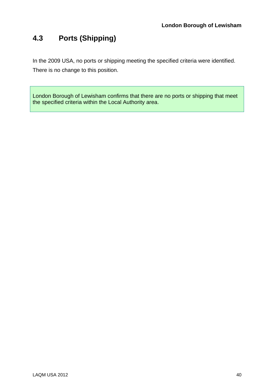## <span id="page-40-0"></span>**4.3 Ports (Shipping)**

In the 2009 USA, no ports or shipping meeting the specified criteria were identified. There is no change to this position.

London Borough of Lewisham confirms that there are no ports or shipping that meet the specified criteria within the Local Authority area.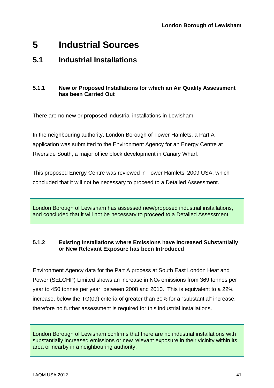## <span id="page-41-0"></span>**5 Industrial Sources**

### **5.1 Industrial Installations**

#### **5.1.1 New or Proposed Installations for which an Air Quality Assessment has been Carried Out**

There are no new or proposed industrial installations in Lewisham.

In the neighbouring authority, London Borough of Tower Hamlets, a Part A application was submitted to the Environment Agency for an Energy Centre at Riverside South, a major office block development in Canary Wharf.

This proposed Energy Centre was reviewed in Tower Hamlets' 2009 USA, which concluded that it will not be necessary to proceed to a Detailed Assessment.

London Borough of Lewisham has assessed new/proposed industrial installations, and concluded that it will not be necessary to proceed to a Detailed Assessment.

#### **5.1.2 Existing Installations where Emissions have Increased Substantially or New Relevant Exposure has been Introduced**

Environment Agency data for the Part A process at South East London Heat and Power (SELCHP) Limited shows an increase in  $NO<sub>x</sub>$  emissions from 369 tonnes per year to 450 tonnes per year, between 2008 and 2010. This is equivalent to a 22% increase, below the TG(09) criteria of greater than 30% for a "substantial" increase, therefore no further assessment is required for this industrial installations.

London Borough of Lewisham confirms that there are no industrial installations with substantially increased emissions or new relevant exposure in their vicinity within its area or nearby in a neighbouring authority.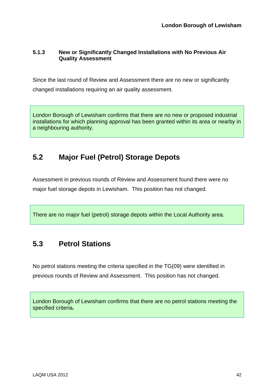#### <span id="page-42-0"></span>**5.1.3 New or Significantly Changed Installations with No Previous Air Quality Assessment**

Since the last round of Review and Assessment there are no new or significantly changed installations requiring an air quality assessment.

London Borough of Lewisham confirms that there are no new or proposed industrial installations for which planning approval has been granted within its area or nearby in a neighbouring authority.

### **5.2 Major Fuel (Petrol) Storage Depots**

Assessment in previous rounds of Review and Assessment found there were no major fuel storage depots in Lewisham. This position has not changed.

There are no major fuel (petrol) storage depots within the Local Authority area.

### **5.3 Petrol Stations**

No petrol stations meeting the criteria specified in the TG(09) were identified in previous rounds of Review and Assessment. This position has not changed.

London Borough of Lewisham confirms that there are no petrol stations meeting the specified criteria**.**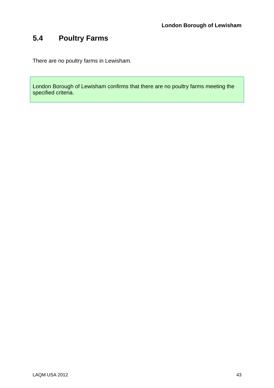## <span id="page-43-0"></span>**5.4 Poultry Farms**

There are no poultry farms in Lewisham.

London Borough of Lewisham confirms that there are no poultry farms meeting the specified criteria.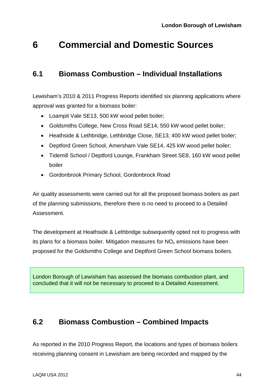## <span id="page-44-0"></span>**6 Commercial and Domestic Sources**

### **6.1 Biomass Combustion – Individual Installations**

Lewisham's 2010 & 2011 Progress Reports identified six planning applications where approval was granted for a biomass boiler:

- Loampit Vale SE13, 500 kW wood pellet boiler;
- Goldsmiths College, New Cross Road SE14, 550 kW wood pellet boiler:
- Heathside & Lethbridge, Lethbridge Close, SE13; 400 kW wood pellet boiler;
- Deptford Green School, Amersham Vale SE14, 425 kW wood pellet boiler;
- Tidemill School / Deptford Lounge, Frankham Street SE8, 160 kW wood pellet boiler
- Gordonbrook Primary School, Gordonbrock Road

Air quality assessments were carried out for all the proposed biomass boilers as part of the planning submissions, therefore there is no need to proceed to a Detailed Assessment.

The development at Heathside & Lethbridge subsequently opted not to progress with its plans for a biomass boiler. Mitigation measures for  $NO<sub>x</sub>$  emissions have been proposed for the Goldsmiths College and Deptford Green School biomass boilers.

London Borough of Lewisham has assessed the biomass combustion plant, and concluded that it will not be necessary to proceed to a Detailed Assessment.

### **6.2 Biomass Combustion – Combined Impacts**

As reported in the 2010 Progress Report, the locations and types of biomass boilers receiving planning consent in Lewisham are being recorded and mapped by the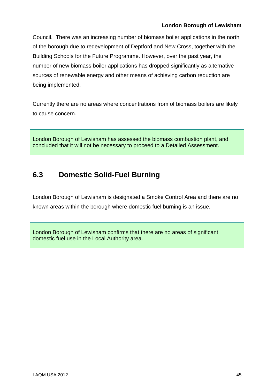<span id="page-45-0"></span>Council. There was an increasing number of biomass boiler applications in the north of the borough due to redevelopment of Deptford and New Cross, together with the Building Schools for the Future Programme. However, over the past year, the number of new biomass boiler applications has dropped significantly as alternative sources of renewable energy and other means of achieving carbon reduction are being implemented.

Currently there are no areas where concentrations from of biomass boilers are likely to cause concern.

London Borough of Lewisham has assessed the biomass combustion plant, and concluded that it will not be necessary to proceed to a Detailed Assessment.

### **6.3 Domestic Solid-Fuel Burning**

London Borough of Lewisham is designated a Smoke Control Area and there are no known areas within the borough where domestic fuel burning is an issue.

London Borough of Lewisham confirms that there are no areas of significant domestic fuel use in the Local Authority area.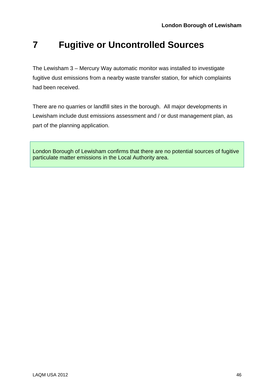# <span id="page-46-0"></span>**7 Fugitive or Uncontrolled Sources**

The Lewisham 3 – Mercury Way automatic monitor was installed to investigate fugitive dust emissions from a nearby waste transfer station, for which complaints had been received.

There are no quarries or landfill sites in the borough. All major developments in Lewisham include dust emissions assessment and / or dust management plan, as part of the planning application.

London Borough of Lewisham confirms that there are no potential sources of fugitive particulate matter emissions in the Local Authority area.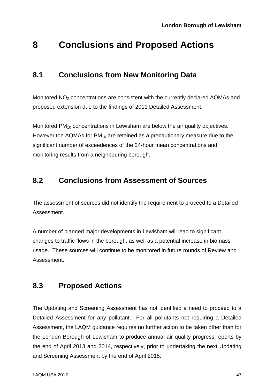## <span id="page-47-0"></span>**8 Conclusions and Proposed Actions**

### **8.1 Conclusions from New Monitoring Data**

Monitored NO<sub>2</sub> concentrations are consistent with the currently declared AQMAs and proposed extension due to the findings of 2011 Detailed Assessment.

Monitored  $PM_{10}$  concentrations in Lewisham are below the air quality objectives. However the AQMAs for  $PM_{10}$  are retained as a precautionary measure due to the significant number of exceedences of the 24-hour mean concentrations and monitoring results from a neighbouring borough.

### **8.2 Conclusions from Assessment of Sources**

The assessment of sources did not identify the requirement to proceed to a Detailed Assessment.

A number of planned major developments in Lewisham will lead to significant changes to traffic flows in the borough, as well as a potential increase in biomass usage. These sources will continue to be monitored in future rounds of Review and Assessment.

### **8.3 Proposed Actions**

The Updating and Screening Assessment has not identified a need to proceed to a Detailed Assessment for any pollutant. For all pollutants not requiring a Detailed Assessment, the LAQM guidance requires no further action to be taken other than for the London Borough of Lewisham to produce annual air quality progress reports by the end of April 2013 and 2014, respectively, prior to undertaking the next Updating and Screening Assessment by the end of April 2015.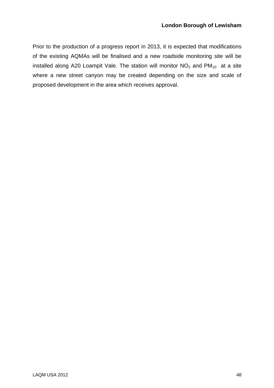Prior to the production of a progress report in 2013, it is expected that modifications of the existing AQMAs will be finalised and a new roadside monitoring site will be installed along A20 Loampit Vale. The station will monitor  $NO<sub>2</sub>$  and  $PM<sub>10</sub>$  at a site where a new street canyon may be created depending on the size and scale of proposed development in the area which receives approval.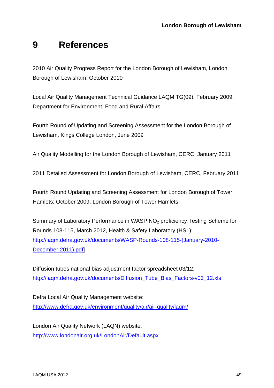# <span id="page-49-0"></span>**9 References**

2010 Air Quality Progress Report for the London Borough of Lewisham, London Borough of Lewisham, October 2010

Local Air Quality Management Technical Guidance LAQM.TG(09), February 2009, Department for Environment, Food and Rural Affairs

Fourth Round of Updating and Screening Assessment for the London Borough of Lewisham, Kings College London, June 2009

Air Quality Modelling for the London Borough of Lewisham, CERC, January 2011

2011 Detailed Assessment for London Borough of Lewisham, CERC, February 2011

Fourth Round Updating and Screening Assessment for London Borough of Tower Hamlets; October 2009; London Borough of Tower Hamlets

Summary of Laboratory Performance in WASP NO<sub>2</sub> proficiency Testing Scheme for Rounds 108-115, March 2012, Health & Safety Laboratory (HSL): [http://laqm.defra.gov.uk/documents/WASP-Rounds-108-115-\(January-2010-](http://laqm.defra.gov.uk/documents/WASP-Rounds-108-115-(January-2010-December-2011).pdf) [December-2011\).pdf\]](http://laqm.defra.gov.uk/documents/WASP-Rounds-108-115-(January-2010-December-2011).pdf)

Diffusion tubes national bias adjustment factor spreadsheet 03/12: [http://laqm.defra.gov.uk/documents/Diffusion\\_Tube\\_Bias\\_Factors-v03\\_12.xls](http://laqm.defra.gov.uk/documents/Diffusion_Tube_Bias_Factors-v03_12.xls)

Defra Local Air Quality Management website: <http://www.defra.gov.uk/environment/quality/air/air-quality/laqm/>

London Air Quality Network (LAQN) website: <http://www.londonair.org.uk/LondonAir/Default.aspx>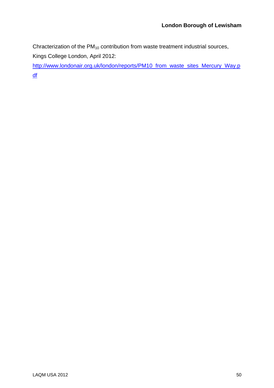Chracterization of the  $PM_{10}$  contribution from waste treatment industrial sources, Kings College London, April 2012:

[http://www.londonair.org.uk/london/reports/PM10\\_from\\_waste\\_sites\\_Mercury\\_Way.p](http://www.londonair.org.uk/london/reports/PM10_from_waste_sites_Mercury_Way.pdf) [df](http://www.londonair.org.uk/london/reports/PM10_from_waste_sites_Mercury_Way.pdf)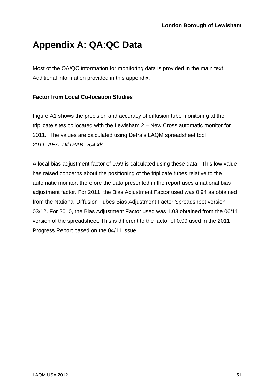# <span id="page-51-0"></span>**Appendix A: QA:QC Data**

Most of the QA/QC information for monitoring data is provided in the main text. Additional information provided in this appendix.

#### **Factor from Local Co-location Studies**

Figure A1 shows the precision and accuracy of diffusion tube monitoring at the triplicate sites collocated with the Lewisham 2 – New Cross automatic monitor for 2011. The values are calculated using Defra's LAQM spreadsheet tool *2011\_AEA\_DifTPAB\_v04.xls*.

A local bias adjustment factor of 0.59 is calculated using these data. This low value has raised concerns about the positioning of the triplicate tubes relative to the automatic monitor, therefore the data presented in the report uses a national bias adjustment factor. For 2011, the Bias Adjustment Factor used was 0.94 as obtained from the National Diffusion Tubes Bias Adjustment Factor Spreadsheet version 03/12. For 2010, the Bias Adjustment Factor used was 1.03 obtained from the 06/11 version of the spreadsheet. This is different to the factor of 0.99 used in the 2011 Progress Report based on the 04/11 issue.